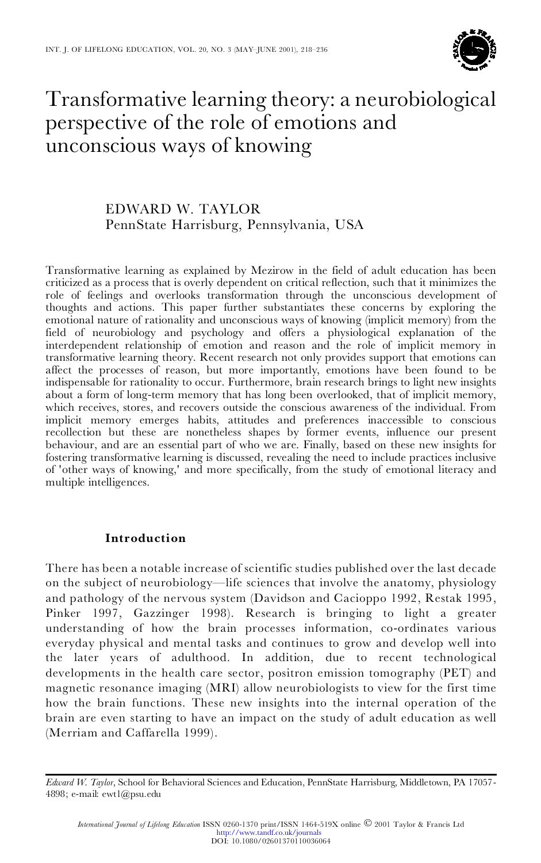

# Transformative learning theory: a neurobiological perspective of the role of emotions and unconscious ways of knowing

# EDWARD W.TAYLOR PennState Harrisburg, Pennsylvania, USA

Transformative learning as explained by Mezirow in the field of adult education has been criticized as a process that is overly dependent on critical reflection, such that it minimizes the role of feelings and overlooks transformation through the unconscious development of thoughts and actions. This paper further substantiates these concerns by exploring the emotional nature of rationality and unconscious ways of knowing (implicit memory) from the field of neurobiology and psychology and offers a physiological explanation of the interdependent relationship of emotion and reason and the role of implicit memory in transformative learning theory. Recent research not only provides support that emotions can affect the processes of reason, but more importantly, emotions have been found to be indispensable for rationality to occur. Furthermore, brain research brings to light new insights about a form of long-term memory that has long been overlooked, that of implicit memory, which receives, stores, and recovers outside the conscious awareness of the individual. From implicit memory emerges habits, attitudes and preferences inaccessible to conscious recollection but these are nonetheless shapes by former events, influence our present behaviour, and are an essential part of who we are. Finally, based on these new insights for fostering transformative learning is discussed, revealing the need to include practices inclusive of 'other ways of knowing,' and more specifically, from the study of emotional literacy and multiple intelligences.

# **Introduction**

There has been a notable increase of scientific studies published over the last decade on the subject of neurobiology—life sciences that involve the anatomy, physiology and pathology of the nervous system (Davidson and Cacioppo 1992, Restak 1995, Pinker 1997, Gazzinger 1998). Research is bringing to light a greater understanding of how the brain processes information, co-ordinates various everyday physical and mental tasks and continues to grow and develop well into the later years of adulthood. In addition, due to recent technological developments in the health care sector, positron emission tomography (PET) and magnetic resonance imaging (MRI) allow neurobiologists to view for the first time how the brain functions. These new insights into the internal operation of the brain are even starting to have an impact on the study of adult education as well (Merriam and Caffarella 1999).

*Edward W. Taylor*, School for Behavioral Sciences and Education, PennState Harrisburg, Middletown, PA 17057- 4898; e-mail: ewt1@psu.edu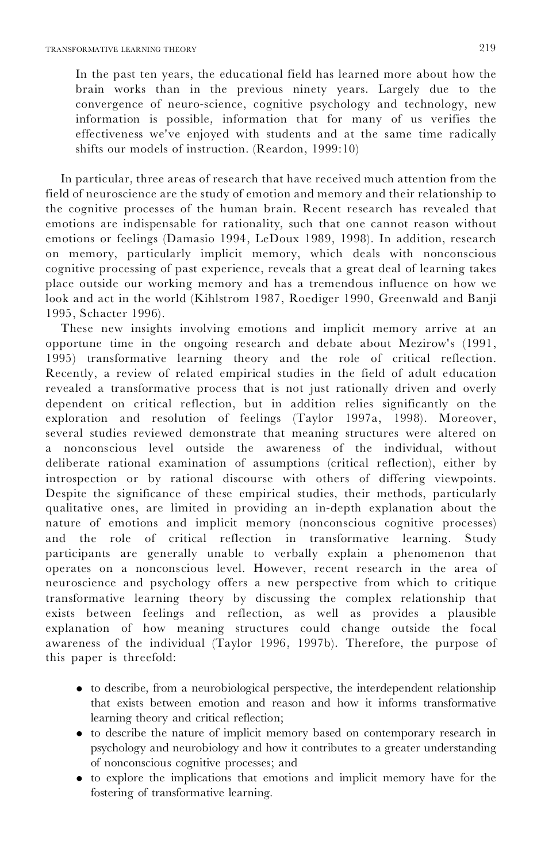In the past ten years, the educational field has learned more about how the brain works than in the previous ninety years. Largely due to the convergence of neuro-science, cognitive psychology and technology, new information is possible, information that for many of us verifies the effectiveness we've enjoyed with students and at the same time radically shifts our models of instruction. (Reardon, 1999:10)

In particular, three areas of research that have received much attention from the field of neuroscience are the study of emotion and memory and their relationship to the cognitive processes of the human brain. Recent research has revealed that emotions are indispensable for rationality, such that one cannot reason without emotions or feelings (Damasio 1994, LeDoux 1989, 1998). In addition, research on memory, particularly implicit memory, which deals with nonconscious cognitive processing of past experience, reveals that a great deal of learning takes place outside our working memory and has a tremendous influence on how we look and act in the world (Kihlstrom 1987, Roediger 1990, Greenwald and Banji 1995, Schacter 1996).

These new insights involving emotions and implicit memory arrive at an opportune time in the ongoing research and debate about Mezirow's (1991, 1995) transformative learning theory and the role of critical reflection. Recently, a review of related empirical studies in the field of adult education revealed a transformative process that is not just rationally driven and overly dependent on critical reflection, but in addition relies significantly on the exploration and resolution of feelings (Taylor 1997a, 1998). Moreover, several studies reviewed demonstrate that meaning structures were altered on a nonconscious level outside the awareness of the individual, without deliberate rational examination of assumptions (critical reflection), either by introspection or by rational discourse with others of differing viewpoints. Despite the significance of these empirical studies, their methods, particularly qualitative ones, are limited in providing an in-depth explanation about the nature of emotions and implicit memory (nonconscious cognitive processes) and the role of critical reflection in transformative learning. Study participants are generally unable to verbally explain a phenomenon that operates on a nonconscious level. However, recent research in the area of neuroscience and psychology offers a new perspective from which to critique transformative learning theory by discussing the complex relationship that exists between feelings and reflection, as well as provides a plausible explanation of how meaning structures could change outside the focal awareness of the individual (Taylor 1996, 1997b). Therefore, the purpose of this paper is threefold:

- · to describe, from a neurobiological perspective, the interdependent relationship that exists between emotion and reason and how it informs transformative learning theory and critical reflection;
- · to describe the nature of implicit memory based on contemporary research in psychology and neurobiology and how it contributes to a greater understanding of nonconscious cognitive processes; and
- to explore the implications that emotions and implicit memory have for the fostering of transformative learning.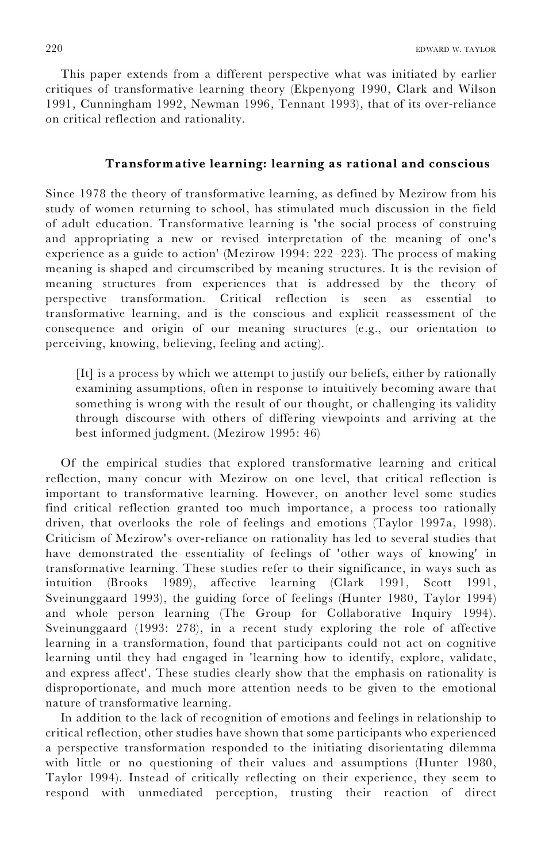This paper extends from a different perspective what was initiated by earlier critiques of transformative learning theory (Ekpenyong 1990, Clark and Wilson 1991, Cunningham 1992, Newman 1996, Tennant 1993), that of its over-reliance on critical reflection and rationality.

# **Transform ative learning: learning as rational and conscious**

Since 1978 the theory of transformative learning, as defined by Mezirow from his study of women returning to school, has stimulated much discussion in the field of adult education. Transformative learning is 'the social process of construing and appropriating a new or revised interpretation of the meaning of one's experience as a guide to action' (Mezirow 1994: 222–223). The process of making meaning is shaped and circumscribed by meaning structures. It is the revision of meaning structures from experiences that is addressed by the theory of perspective transformation. Critical reflection is seen as essential to transformative learning, and is the conscious and explicit reassessment of the consequence and origin of our meaning structures (e.g., our orientation to perceiving, knowing, believing, feeling and acting).

[It] is a process by which we attempt to justify our beliefs, either by rationally examining assumptions, often in response to intuitively becoming aware that something is wrong with the result of our thought, or challenging its validity through discourse with others of differing viewpoints and arriving at the best informed judgment. (Mezirow 1995: 46)

Of the empirical studies that explored transformative learning and critical reflection, many concur with Mezirow on one level, that critical reflection is important to transformative learning. However, on another level some studies find critical reflection granted too much importance, a process too rationally driven, that overlooks the role of feelings and emotions (Taylor 1997a, 1998). Criticism of Mezirow's over-reliance on rationality has led to several studies that have demonstrated the essentiality of feelings of 'other ways of knowing' in transformative learning. These studies refer to their significance, in ways such as intuition (Brooks 1989), affective learning (Clark 1991, Scott 1991, Sveinunggaard 1993), the guiding force of feelings (Hunter 1980, Taylor 1994) and whole person learning (The Group for Collaborative Inquiry 1994). Sveinunggaard (1993: 278), in a recent study exploring the role of affective learning in a transformation, found that participants could not act on cognitive learning until they had engaged in 'learning how to identify, explore, validate, and express affect'. These studies clearly show that the emphasis on rationality is disproportionate, and much more attention needs to be given to the emotional nature of transformative learning.

In addition to the lack of recognition of emotions and feelings in relationship to critical reflection, other studies have shown that some participants who experienced a perspective transformation responded to the initiating disorientating dilemma with little or no questioning of their values and assumptions (Hunter 1980, Taylor 1994). Instead of critically reflecting on their experience, they seem to respond with unmediated perception, trusting their reaction of direct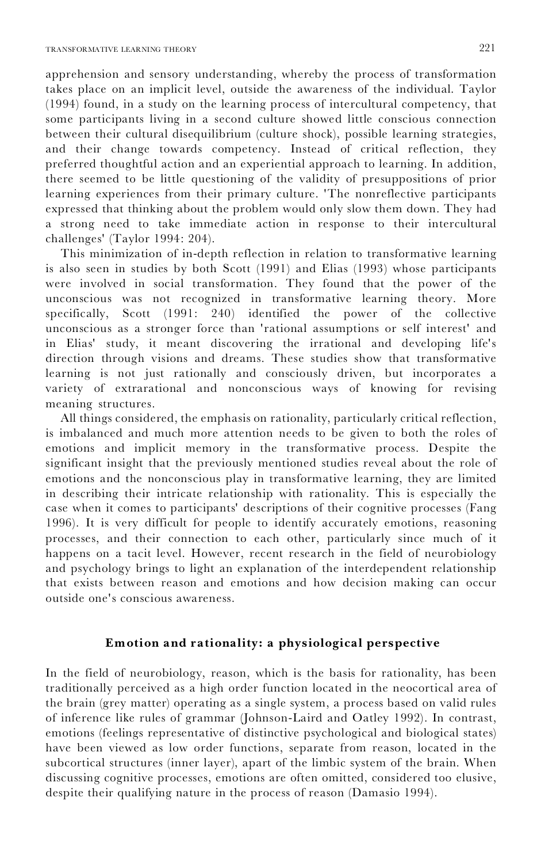apprehension and sensory understanding, whereby the process of transformation takes place on an implicit level, outside the awareness of the individual. Taylor (1994) found, in a study on the learning process of intercultural competency, that some participants living in a second culture showed little conscious connection between their cultural disequilibrium (culture shock), possible learning strategies, and their change towards competency. Instead of critical reflection, they preferred thoughtful action and an experiential approach to learning. In addition, there seemed to be little questioning of the validity of presuppositions of prior learning experiences from their primary culture. 'The nonreflective participants expressed that thinking about the problem would only slow them down. They had a strong need to take immediate action in response to their intercultural challenges' (Taylor 1994: 204).

This minimization of in-depth reflection in relation to transformative learning is also seen in studies by both Scott (1991) and Elias (1993) whose participants were involved in social transformation. They found that the power of the unconscious was not recognized in transformative learning theory. More specifically, Scott (1991: 240) identified the power of the collective unconscious as a stronger force than 'rational assumptions or self interest' and in Elias' study, it meant discovering the irrational and developing life's direction through visions and dreams. These studies show that transformative learning is not just rationally and consciously driven, but incorporates a variety of extrarational and nonconscious ways of knowing for revising meaning structures.

All things considered, the emphasis on rationality, particularly critical reflection, is imbalanced and much more attention needs to be given to both the roles of emotions and implicit memory in the transformative process. Despite the significant insight that the previously mentioned studies reveal about the role of emotions and the nonconscious play in transformative learning, they are limited in describing their intricate relationship with rationality. This is especially the case when it comes to participants' descriptions of their cognitive processes (Fang 1996). It is very difficult for people to identify accurately emotions, reasoning processes, and their connection to each other, particularly since much of it happens on a tacit level. However, recent research in the field of neurobiology and psychology brings to light an explanation of the interdependent relationship that exists between reason and emotions and how decision making can occur outside one's conscious awareness.

## **Emotion and rationality: a physiological perspective**

In the field of neurobiology, reason, which is the basis for rationality, has been traditionally perceived as a high order function located in the neocortical area of the brain (grey matter) operating as a single system, a process based on valid rules of inference like rules of grammar (Johnson-Laird and Oatley 1992). In contrast, emotions (feelings representative of distinctive psychological and biological states) have been viewed as low order functions, separate from reason, located in the subcortical structures (inner layer), apart of the limbic system of the brain. When discussing cognitive processes, emotions are often omitted, considered too elusive, despite their qualifying nature in the process of reason (Damasio 1994).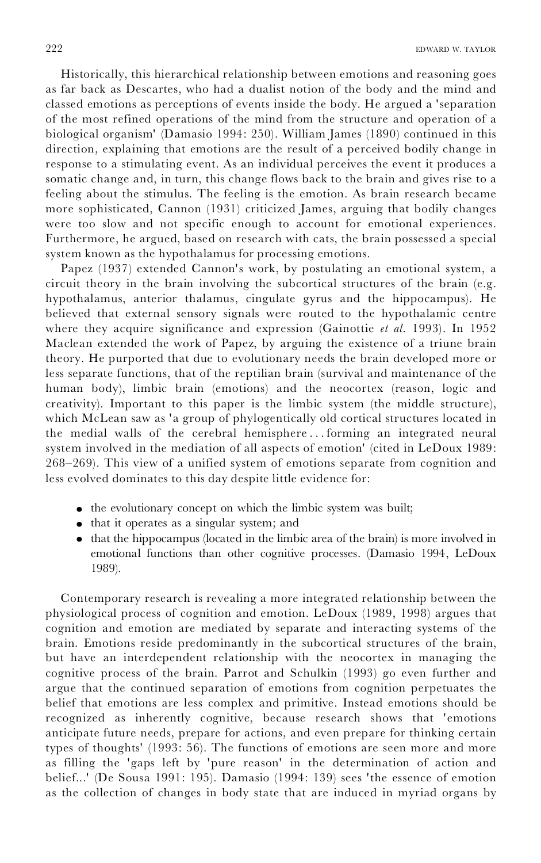Historically, this hierarchical relationship between emotions and reasoning goes as far back as Descartes, who had a dualist notion of the body and the mind and classed emotions as perceptions of events inside the body. He argued a 'separation of the most refined operations of the mind from the structure and operation of a biological organism' (Damasio 1994: 250). William James (1890) continued in this direction, explaining that emotions are the result of a perceived bodily change in response to a stimulating event. As an individual perceives the event it produces a somatic change and, in turn, this change flows back to the brain and gives rise to a feeling about the stimulus. The feeling is the emotion. As brain research became more sophisticated, Cannon (1931) criticized James, arguing that bodily changes were too slow and not specific enough to account for emotional experiences. Furthermore, he argued, based on research with cats, the brain possessed a special system known as the hypothalamus for processing emotions.

Papez (1937) extended Cannon's work, by postulating an emotional system, a circuit theory in the brain involving the subcortical structures of the brain (e.g. hypothalamus, anterior thalamus, cingulate gyrus and the hippocampus). He believed that external sensory signals were routed to the hypothalamic centre where they acquire significance and expression (Gainottie *et al*. 1993). In 1952 Maclean extended the work of Papez, by arguing the existence of a triune brain theory. He purported that due to evolutionary needs the brain developed more or less separate functions, that of the reptilian brain (survival and maintenance of the human body), limbic brain (emotions) and the neocortex (reason, logic and creativity). Important to this paper is the limbic system (the middle structure), which McLean saw as 'a group of phylogentically old cortical structures located in the medial walls of the cerebral hemisphere . . . forming an integrated neural system involved in the mediation of all aspects of emotion' (cited in LeDoux 1989: 268–269). This view of a unified system of emotions separate from cognition and less evolved dominates to this day despite little evidence for:

- the evolutionary concept on which the limbic system was built;
- that it operates as a singular system; and
- that the hippocampus (located in the limbic area of the brain) is more involved in emotional functions than other cognitive processes. (Damasio 1994, LeDoux 1989).

Contemporary research is revealing a more integrated relationship between the physiological process of cognition and emotion. LeDoux (1989, 1998) argues that cognition and emotion are mediated by separate and interacting systems of the brain. Emotions reside predominantly in the subcortical structures of the brain, but have an interdependent relationship with the neocortex in managing the cognitive process of the brain. Parrot and Schulkin (1993) go even further and argue that the continued separation of emotions from cognition perpetuates the belief that emotions are less complex and primitive. Instead emotions should be recognized as inherently cognitive, because research shows that 'emotions anticipate future needs, prepare for actions, and even prepare for thinking certain types of thoughts' (1993: 56). The functions of emotions are seen more and more as filling the 'gaps left by 'pure reason' in the determination of action and belief...' (De Sousa 1991: 195). Damasio (1994: 139) sees 'the essence of emotion as the collection of changes in body state that are induced in myriad organs by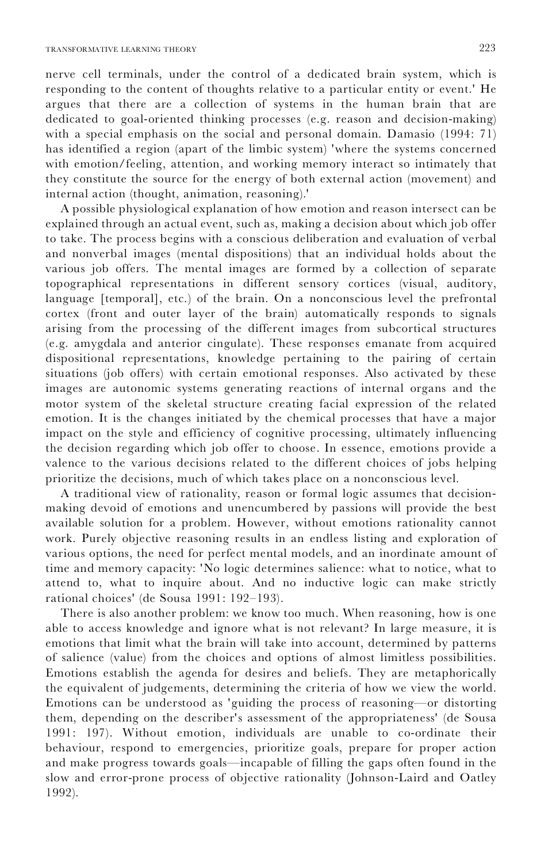nerve cell terminals, under the control of a dedicated brain system, which is responding to the content of thoughts relative to a particular entity or event.' He argues that there are a collection of systems in the human brain that are dedicated to goal-oriented thinking processes (e.g. reason and decision-making) with a special emphasis on the social and personal domain. Damasio (1994: 71) has identified a region (apart of the limbic system) 'where the systems concerned with emotion/feeling, attention, and working memory interact so intimately that they constitute the source for the energy of both external action (movement) and internal action (thought, animation, reasoning).'

A possible physiological explanation of how emotion and reason intersect can be explained through an actual event, such as, making a decision about which job offer to take. The process begins with a conscious deliberation and evaluation of verbal and nonverbal images (mental dispositions) that an individual holds about the various job offers. The mental images are formed by a collection of separate topographical representations in different sensory cortices (visual, auditory, language [temporal], etc.) of the brain. On a nonconscious level the prefrontal cortex (front and outer layer of the brain) automatically responds to signals arising from the processing of the different images from subcortical structures (e.g. amygdala and anterior cingulate). These responses emanate from acquired dispositional representations, knowledge pertaining to the pairing of certain situations (job offers) with certain emotional responses. Also activated by these images are autonomic systems generating reactions of internal organs and the motor system of the skeletal structure creating facial expression of the related emotion. It is the changes initiated by the chemical processes that have a major impact on the style and efficiency of cognitive processing, ultimately influencing the decision regarding which job offer to choose. In essence, emotions provide a valence to the various decisions related to the different choices of jobs helping prioritize the decisions, much of which takes place on a nonconscious level.

A traditional view ofrationality, reason or formal logic assumes that decision making devoid of emotions and unencumbered by passions will provide the best available solution for a problem. However, without emotions rationality cannot work. Purely objective reasoning results in an endless listing and exploration of various options, the need for perfect mental models, and an inordinate amount of time and memory capacity: 'No logic determines salience: what to notice, what to attend to, what to inquire about. And no inductive logic can make strictly rational choices' (de Sousa 1991: 192–193).

There is also another problem: we know too much. When reasoning, how is one able to access knowledge and ignore what is not relevant? In large measure, it is emotions that limit what the brain will take into account, determined by patterns of salience (value) from the choices and options of almost limitless possibilities. Emotions establish the agenda for desires and beliefs. They are metaphorically the equivalent of judgements, determining the criteria of how we view the world. Emotions can be understood as 'guiding the process of reasoning—or distorting them, depending on the describer's assessment of the appropriateness' (de Sousa 1991: 197). Without emotion, individuals are unable to co-ordinate their behaviour, respond to emergencies, prioritize goals, prepare for proper action and make progress towards goals—incapable of filling the gaps often found in the slow and error-prone process of objective rationality (Johnson-Laird and Oatley 1992).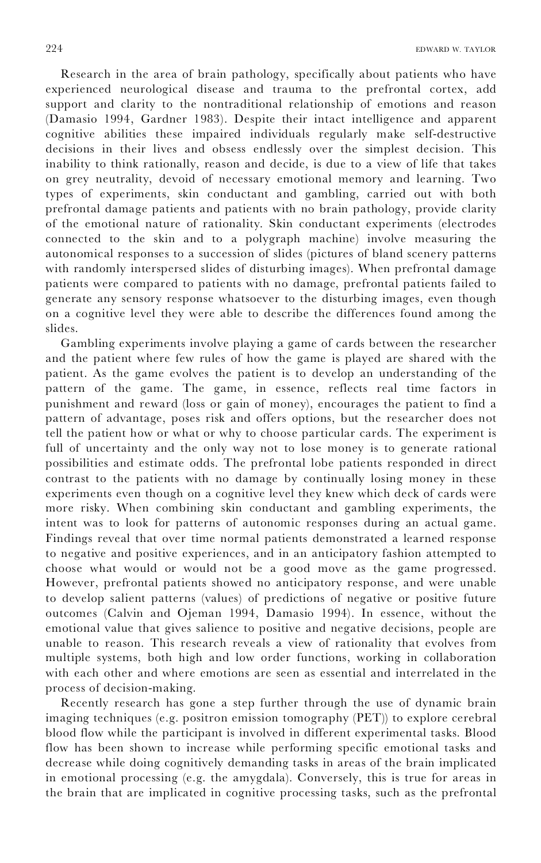Research in the area of brain pathology, specifically about patients who have experienced neurological disease and trauma to the prefrontal cortex, add support and clarity to the nontraditional relationship of emotions and reason (Damasio 1994, Gardner 1983). Despite their intact intelligence and apparent cognitive abilities these impaired individuals regularly make self-destructive decisions in their lives and obsess endlessly over the simplest decision. This inability to think rationally, reason and decide, is due to a view of life that takes on grey neutrality, devoid of necessary emotional memory and learning. Two types of experiments, skin conductant and gambling, carried out with both prefrontal damage patients and patients with no brain pathology, provide clarity of the emotional nature of rationality. Skin conductant experiments (electrodes connected to the skin and to a polygraph machine) involve measuring the autonomical responses to a succession of slides (pictures of bland scenery patterns with randomly interspersed slides of disturbing images). When prefrontal damage patients were compared to patients with no damage, prefrontal patients failed to generate any sensory response whatsoever to the disturbing images, even though on a cognitive level they were able to describe the differences found among the slides.

Gambling experiments involve playing a game of cards between the researcher and the patient where few rules of how the game is played are shared with the patient. As the game evolves the patient is to develop an understanding of the pattern of the game. The game, in essence, reflects real time factors in punishment and reward (loss or gain of money), encourages the patient to find a pattern of advantage, poses risk and offers options, but the researcher does not tell the patient how or what or why to choose particular cards. The experiment is full of uncertainty and the only way not to lose money is to generate rational possibilities and estimate odds. The prefrontal lobe patients responded in direct contrast to the patients with no damage by continually losing money in these experiments even though on a cognitive level they knew which deck of cards were more risky. When combining skin conductant and gambling experiments, the intent was to look for patterns of autonomic responses during an actual game. Findings reveal that over time normal patients demonstrated a learned response to negative and positive experiences, and in an anticipatory fashion attempted to choose what would or would not be a good move as the game progressed. However, prefrontal patients showed no anticipatory response, and were unable to develop salient patterns (values) of predictions of negative or positive future outcomes (Calvin and Ojeman 1994, Damasio 1994). In essence, without the emotional value that gives salience to positive and negative decisions, people are unable to reason. This research reveals a view of rationality that evolves from multiple systems, both high and low order functions, working in collaboration with each other and where emotions are seen as essential and interrelated in the process of decision-making.

Recently research has gone a step further through the use of dynamic brain imaging techniques (e.g. positron emission tomography (PET)) to explore cerebral blood flow while the participant is involved in different experimental tasks. Blood flow has been shown to increase while performing specific emotional tasks and decrease while doing cognitively demanding tasks in areas of the brain implicated in emotional processing (e.g. the amygdala). Conversely, this is true for areas in the brain that are implicated in cognitive processing tasks, such as the prefrontal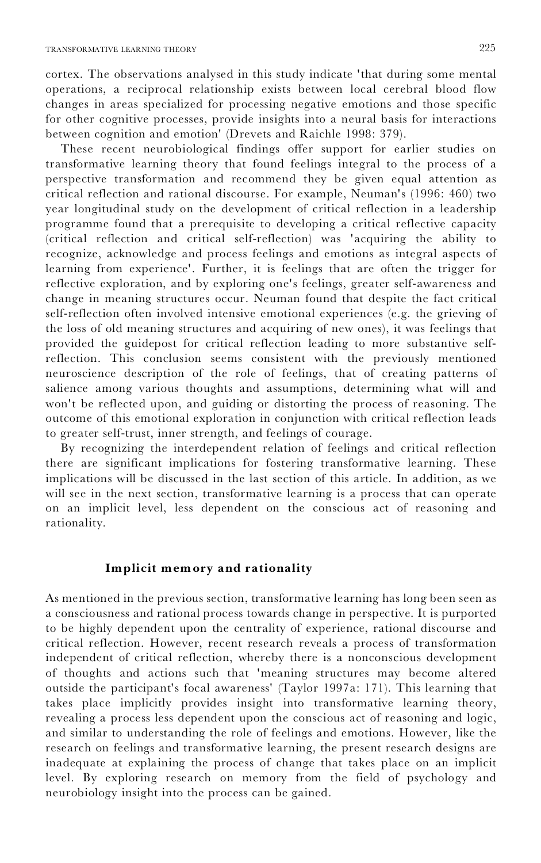cortex. The observations analysed in this study indicate 'that during some mental operations, a reciprocal relationship exists between local cerebral blood flow changes in areas specialized for processing negative emotions and those specific for other cognitive processes, provide insights into a neural basis for interactions between cognition and emotion' (Drevets and Raichle 1998: 379).

These recent neurobiological findings offer support for earlier studies on transformative learning theory that found feelings integral to the process of a perspective transformation and recommend they be given equal attention as critical reflection and rational discourse. For example, Neuman's (1996: 460) two year longitudinal study on the development of critical reflection in a leadership programme found that a prerequisite to developing a critical reflective capacity (critical reflection and critical self-reflection) was 'acquiring the ability to recognize, acknowledge and process feelings and emotions as integral aspects of learning from experience'. Further, it is feelings that are often the trigger for reflective exploration, and by exploring one's feelings, greater self-awareness and change in meaning structures occur. Neuman found that despite the fact critical self-reflection often involved intensive emotional experiences (e.g. the grieving of the loss of old meaning structures and acquiring of new ones), it was feelings that provided the guidepost for critical reflection leading to more substantive selfreflection. This conclusion seems consistent with the previously mentioned neuroscience description of the role of feelings, that of creating patterns of salience among various thoughts and assumptions, determining what will and won't be reflected upon, and guiding or distorting the process of reasoning. The outcome of this emotional exploration in conjunction with critical reflection leads to greater self-trust, inner strength, and feelings of courage.

By recognizing the interdependent relation of feelings and critical reflection there are significant implications for fostering transformative learning. These implications will be discussed in the last section of this article. In addition, as we will see in the next section, transformative learning is a process that can operate on an implicit level, less dependent on the conscious act of reasoning and rationality.

# **Implicit mem ory and rationality**

As mentioned in the previous section, transformative learning has long been seen as a consciousness and rational process towards change in perspective. It is purported to be highly dependent upon the centrality of experience, rational discourse and critical reflection. However, recent research reveals a process of transformation independent of critical reflection, whereby there is a nonconscious development of thoughts and actions such that 'meaning structures may become altered outside the participant's focal awareness' (Taylor 1997a: 171). This learning that takes place implicitly provides insight into transformative learning theory, revealing a process less dependent upon the conscious act of reasoning and logic, and similar to understanding the role of feelings and emotions. However, like the research on feelings and transformative learning, the present research designs are inadequate at explaining the process of change that takes place on an implicit level. By exploring research on memory from the field of psychology and neurobiology insight into the process can be gained.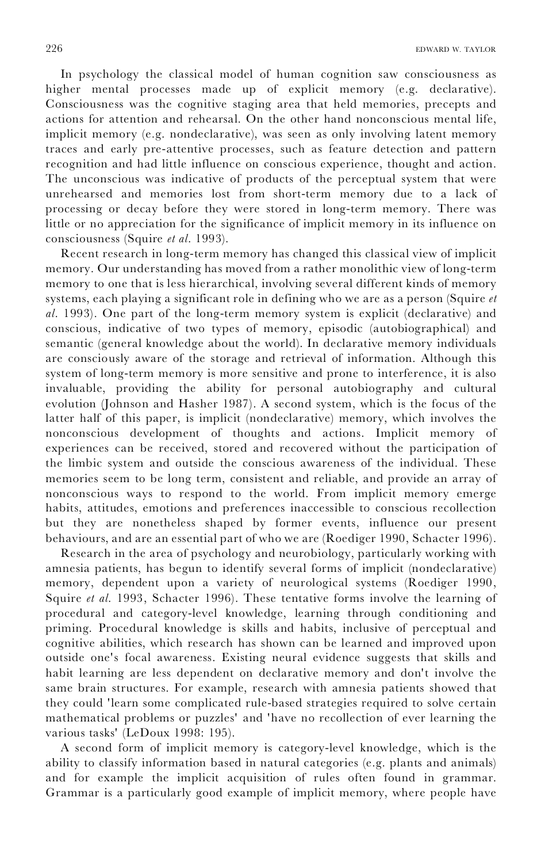In psychology the classical model of human cognition saw consciousness as higher mental processes made up of explicit memory (e.g. declarative). Consciousness was the cognitive staging area that held memories, precepts and actions for attention and rehearsal. On the other hand nonconscious mental life, implicit memory (e.g. nondeclarative), was seen as only involving latent memory traces and early pre-attentive processes, such as feature detection and pattern recognition and had little influence on conscious experience, thought and action. The unconscious was indicative of products of the perceptual system that were unrehearsed and memories lost from short-term memory due to a lack of processing or decay before they were stored in long-term memory. There was little or no appreciation for the significance of implicit memory in its influence on consciousness (Squire *et al*. 1993).

Recent research in long-term memory has changed this classical view of implicit memory. Our understanding has moved from a rather monolithic view of long-term memory to one that is less hierarchical, involving several different kinds of memory systems, each playing a significant role in defining who we are as a person (Squire *et al*. 1993). One part of the long-term memory system is explicit (declarative) and conscious, indicative of two types of memory, episodic (autobiographical) and semantic (general knowledge about the world). In declarative memory individuals are consciously aware of the storage and retrieval of information. Although this system of long-term memory is more sensitive and prone to interference, it is also invaluable, providing the ability for personal autobiography and cultural evolution (Johnson and Hasher 1987). A second system, which is the focus of the latter half of this paper, is implicit (nondeclarative) memory, which involves the nonconscious development of thoughts and actions. Implicit memory of experiences can be received, stored and recovered without the participation of the limbic system and outside the conscious awareness of the individual. These memories seem to be long term, consistent and reliable, and provide an array of nonconscious ways to respond to the world. From implicit memory emerge habits, attitudes, emotions and preferences inaccessible to conscious recollection but they are nonetheless shaped by former events, influence our present behaviours, and are an essential part of who we are (Roediger 1990, Schacter 1996).

Research in the area of psychology and neurobiology, particularly working with amnesia patients, has begun to identify several forms of implicit (nondeclarative) memory, dependent upon a variety of neurological systems (Roediger 1990, Squire *et al*. 1993, Schacter 1996). These tentative forms involve the learning of procedural and category-level knowledge, learning through conditioning and priming. Procedural knowledge is skills and habits, inclusive of perceptual and cognitive abilities, which research has shown can be learned and improved upon outside one's focal awareness. Existing neural evidence suggests that skills and habit learning are less dependent on declarative memory and don't involve the same brain structures. For example, research with amnesia patients showed that they could 'learn some complicated rule-based strategies required to solve certain mathematical problems or puzzles' and 'have no recollection of ever learning the various tasks' (LeDoux 1998: 195).

A second form of implicit memory is category-level knowledge, which is the ability to classify information based in natural categories (e.g. plants and animals) and for example the implicit acquisition of rules often found in grammar. Grammar is a particularly good example of implicit memory, where people have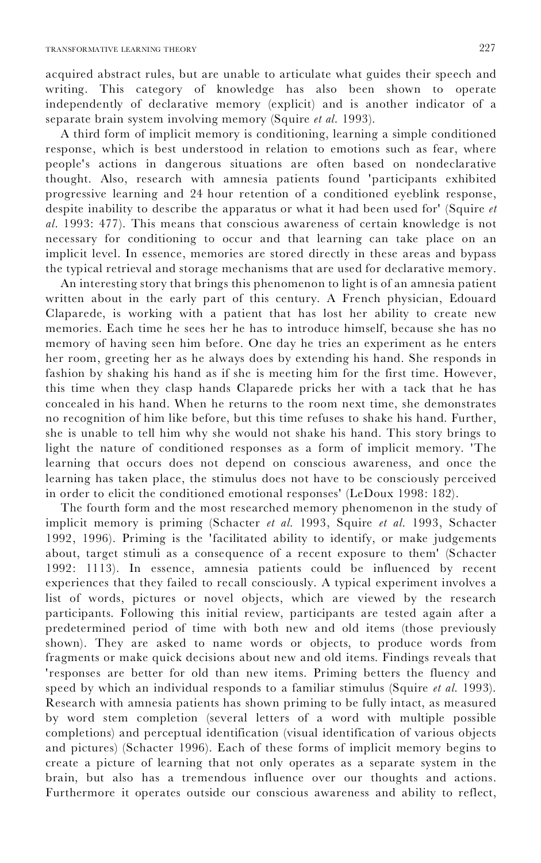acquired abstract rules, but are unable to articulate what guides their speech and writing. This category of knowledge has also been shown to operate independently of declarative memory (explicit) and is another indicator of a separate brain system involving memory (Squire *et al*. 1993).

A third form of implicit memory is conditioning, learning a simple conditioned response, which is best understood in relation to emotions such as fear, where people's actions in dangerous situations are often based on nondeclarative thought. Also, research with amnesia patients found 'participants exhibited progressive learning and 24 hour retention of a conditioned eyeblink response, despite inability to describe the apparatus or what it had been used for' (Squire *et al*. 1993: 477). This means that conscious awareness of certain knowledge is not necessary for conditioning to occur and that learning can take place on an implicit level. In essence, memories are stored directly in these areas and bypass the typical retrieval and storage mechanisms that are used for declarative memory.

An interesting story that brings this phenomenon to light is of an amnesia patient written about in the early part of this century. A French physician, Edouard Claparede, is working with a patient that has lost her ability to create new memories. Each time he sees her he has to introduce himself, because she has no memory of having seen him before. One day he tries an experiment as he enters her room, greeting her as he always does by extending his hand. She responds in fashion by shaking his hand as if she is meeting him for the first time. However, this time when they clasp hands Claparede pricks her with a tack that he has concealed in his hand. When he returns to the room next time, she demonstrates no recognition of him like before, but this time refuses to shake his hand. Further, she is unable to tell him why she would not shake his hand. This story brings to light the nature of conditioned responses as a form of implicit memory. 'The learning that occurs does not depend on conscious awareness, and once the learning has taken place, the stimulus does not have to be consciously perceived in order to elicit the conditioned emotional responses' (LeDoux 1998: 182).

The fourth form and the most researched memory phenomenon in the study of implicit memory is priming (Schacter *et al*. 1993, Squire *et al*. 1993, Schacter 1992, 1996). Priming is the 'facilitated ability to identify, or make judgements about, target stimuli as a consequence of a recent exposure to them' (Schacter 1992: 1113). In essence, amnesia patients could be influenced by recent experiences that they failed to recall consciously. A typical experiment involves a list of words, pictures or novel objects, which are viewed by the research participants. Following this initial review, participants are tested again after a predetermined period of time with both new and old items (those previously shown). They are asked to name words or objects, to produce words from fragments or make quick decisions about new and old items. Findings reveals that 'responses are better for old than new items. Priming betters the fluency and speed by which an individual responds to a familiar stimulus (Squire *et al*. 1993). Research with amnesia patients has shown priming to be fully intact, as measured by word stem completion (several letters of a word with multiple possible completions) and perceptual identification (visual identification of various objects and pictures) (Schacter 1996). Each of these forms of implicit memory begins to create a picture of learning that not only operates as a separate system in the brain, but also has a tremendous influence over our thoughts and actions. Furthermore it operates outside our conscious awareness and ability to reflect,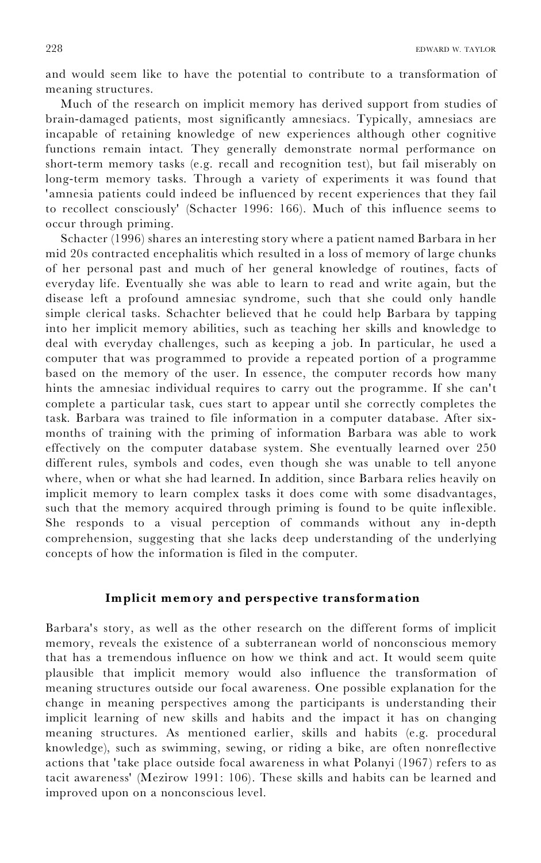and would seem like to have the potential to contribute to a transformation of meaning structures.

Much of the research on implicit memory has derived support from studies of brain-damaged patients, most significantly amnesiacs. Typically, amnesiacs are incapable of retaining knowledge of new experiences although other cognitive functions remain intact. They generally demonstrate normal performance on short-term memory tasks (e.g. recall and recognition test), but fail miserably on long-term memory tasks. Through a variety of experiments it was found that 'amnesia patients could indeed be influenced by recent experiences that they fail to recollect consciously' (Schacter 1996: 166). Much of this influence seems to occur through priming.

Schacter (1996) shares an interesting story where a patient named Barbara in her mid 20s contracted encephalitis which resulted in a loss of memory of large chunks of her personal past and much of her general knowledge of routines, facts of everyday life. Eventually she was able to learn to read and write again, but the disease left a profound amnesiac syndrome, such that she could only handle simple clerical tasks. Schachter believed that he could help Barbara by tapping into her implicit memory abilities, such as teaching her skills and knowledge to deal with everyday challenges, such as keeping a job. In particular, he used a computer that was programmed to provide a repeated portion of a programme based on the memory of the user. In essence, the computer records how many hints the amnesiac individual requires to carry out the programme. If she can't complete a particular task, cues start to appear until she correctly completes the task. Barbara was trained to file information in a computer database. After six months of training with the priming of information Barbara was able to work effectively on the computer database system. She eventually learned over 250 different rules, symbols and codes, even though she was unable to tell anyone where, when or what she had learned. In addition, since Barbara relies heavily on implicit memory to learn complex tasks it does come with some disadvantages, such that the memory acquired through priming is found to be quite inflexible. She responds to a visual perception of commands without any in-depth comprehension, suggesting that she lacks deep understanding of the underlying concepts of how the information is filed in the computer.

# **Implicit mem ory and perspective transformation**

Barbara's story, as well as the other research on the different forms of implicit memory, reveals the existence of a subterranean world of nonconscious memory that has a tremendous influence on how we think and act. It would seem quite plausible that implicit memory would also influence the transformation of meaning structures outside our focal awareness. One possible explanation for the change in meaning perspectives among the participants is understanding their implicit learning of new skills and habits and the impact it has on changing meaning structures. As mentioned earlier, skills and habits (e.g. procedural knowledge), such as swimming, sewing, or riding a bike, are often nonreflective actions that 'take place outside focal awareness in what Polanyi (1967) refers to as tacit awareness' (Mezirow 1991: 106). These skills and habits can be learned and improved upon on a nonconscious level.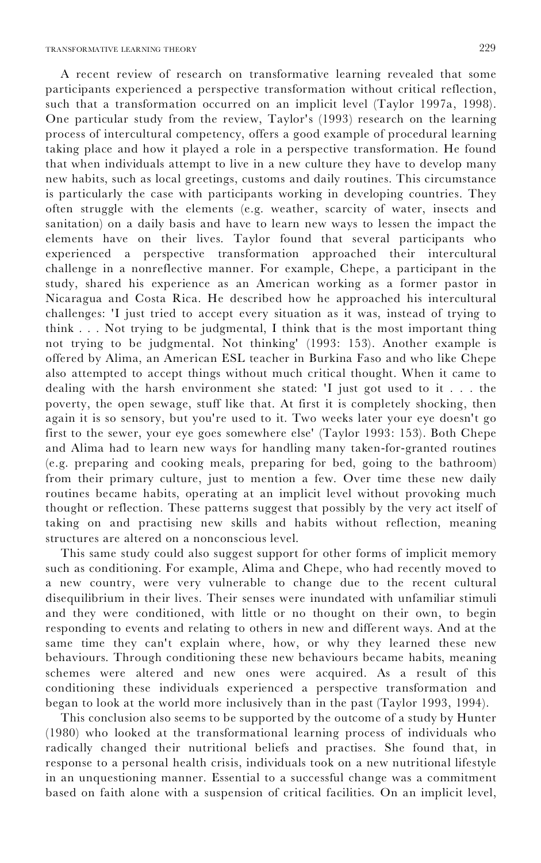A recent review of research on transformative learning revealed that some participants experienced a perspective transformation without critical reflection, such that a transformation occurred on an implicit level (Taylor 1997a, 1998). One particular study from the review, Taylor's (1993) research on the learning process of intercultural competency, offers a good example of procedural learning taking place and how it played a role in a perspective transformation. He found that when individuals attempt to live in a new culture they have to develop many new habits, such as local greetings, customs and daily routines. This circumstance is particularly the case with participants working in developing countries. They often struggle with the elements (e.g. weather, scarcity of water, insects and sanitation) on a daily basis and have to learn new ways to lessen the impact the elements have on their lives. Taylor found that several participants who experienced a perspective transformation approached their intercultural challenge in a nonreflective manner. For example, Chepe, a participant in the study, shared his experience as an American working as a former pastor in Nicaragua and Costa Rica. He described how he approached his intercultural challenges: 'I just tried to accept every situation as it was, instead of trying to think .. . Not trying to be judgmental, I think that is the most important thing not trying to be judgmental. Not thinking' (1993: 153). Another example is offered by Alima, an American ESL teacher in Burkina Faso and who like Chepe also attempted to accept things without much critical thought. When it came to dealing with the harsh environment she stated: 'I just got used to it . . . the poverty, the open sewage, stuff like that. At first it is completely shocking, then again it is so sensory, but you're used to it. Two weeks later your eye doesn't go first to the sewer, your eye goes somewhere else' (Taylor 1993: 153). Both Chepe and Alima had to learn new ways for handling many taken-for-granted routines (e.g. preparing and cooking meals, preparing for bed, going to the bathroom) from their primary culture, just to mention a few. Over time these new daily routines became habits, operating at an implicit level without provoking much thought or reflection. These patterns suggest that possibly by the very act itself of taking on and practising new skills and habits without reflection, meaning structures are altered on a nonconscious level.

This same study could also suggest support for other forms of implicit memory such as conditioning. For example, Alima and Chepe, who had recently moved to a new country, were very vulnerable to change due to the recent cultural disequilibrium in their lives. Their senses were inundated with unfamiliar stimuli and they were conditioned, with little or no thought on their own, to begin responding to events and relating to others in new and different ways. And at the same time they can't explain where, how, or why they learned these new behaviours. Through conditioning these new behaviours became habits, meaning schemes were altered and new ones were acquired. As a result of this conditioning these individuals experienced a perspective transformation and began to look at the world more inclusively than in the past (Taylor 1993, 1994).

This conclusion also seems to be supported by the outcome of a study by Hunter (1980) who looked at the transformational learning process of individuals who radically changed their nutritional beliefs and practises. She found that, in response to a personal health crisis, individuals took on a new nutritional lifestyle in an unquestioning manner. Essential to a successful change was a commitment based on faith alone with a suspension of critical facilities. On an implicit level,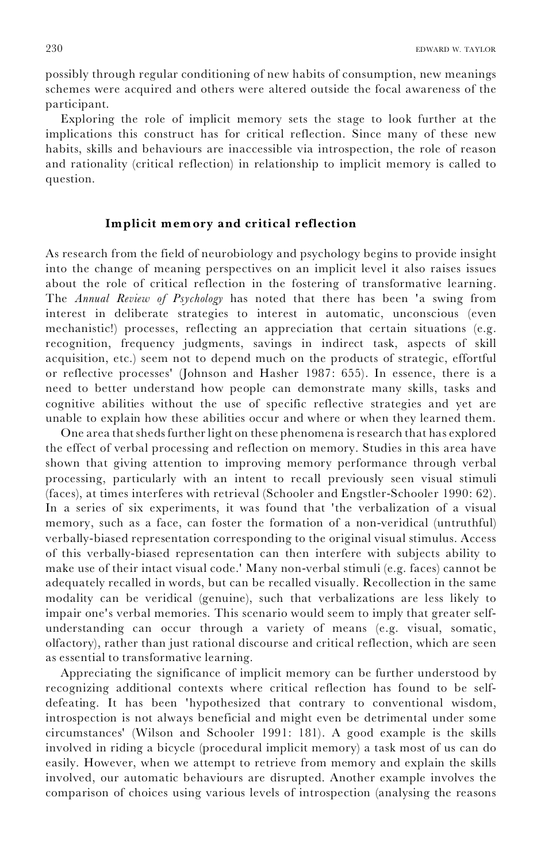possibly through regular conditioning of new habits of consumption, new meanings schemes were acquired and others were altered outside the focal awareness of the participant.

Exploring the role of implicit memory sets the stage to look further at the implications this construct has for critical reflection. Since many of these new habits, skills and behaviours are inaccessible via introspection, the role of reason and rationality (critical reflection) in relationship to implicit memory is called to question.

## **Implicit mem ory and cr itical reflection**

As research from the field of neurobiology and psychology begins to provide insight into the change of meaning perspectives on an implicit level it also raises issues about the role of critical reflection in the fostering of transformative learning. The *Annual Review of Psychology* has noted that there has been 'a swing from interest in deliberate strategies to interest in automatic, unconscious (even mechanistic!) processes, reflecting an appreciation that certain situations (e.g. recognition, frequency judgments, savings in indirect task, aspects of skill acquisition, etc.) seem not to depend much on the products of strategic, effortful or reflective processes' (Johnson and Hasher 1987: 655). In essence, there is a need to better understand how people can demonstrate many skills, tasks and cognitive abilities without the use of specific reflective strategies and yet are unable to explain how these abilities occur and where or when they learned them.

One area that sheds further light on these phenomena is research that has explored the effect of verbal processing and reflection on memory. Studies in this area have shown that giving attention to improving memory performance through verbal processing, particularly with an intent to recall previously seen visual stimuli (faces), at times interferes with retrieval (Schooler and Engstler-Schooler 1990: 62). In a series of six experiments, it was found that 'the verbalization of a visual memory, such as a face, can foster the formation of a non-veridical (untruthful) verbally-biased representation corresponding to the original visual stimulus. Access of this verbally-biased representation can then interfere with subjects ability to make use of their intact visual code.' Many non-verbal stimuli (e.g. faces) cannot be adequately recalled in words, but can be recalled visually. Recollection in the same modality can be veridical (genuine), such that verbalizations are less likely to impair one's verbal memories. This scenario would seem to imply that greater self understanding can occur through a variety of means (e.g. visual, somatic, olfactory), rather than just rational discourse and critical reflection, which are seen as essential to transformative learning.

Appreciating the significance of implicit memory can be further understood by recognizing additional contexts where critical reflection has found to be self defeating. It has been 'hypothesized that contrary to conventional wisdom, introspection is not always beneficial and might even be detrimental under some circumstances' (Wilson and Schooler 1991: 181). A good example is the skills involved in riding a bicycle (procedural implicit memory) a task most of us can do easily. However, when we attempt to retrieve from memory and explain the skills involved, our automatic behaviours are disrupted. Another example involves the comparison of choices using various levels of introspection (analysing the reasons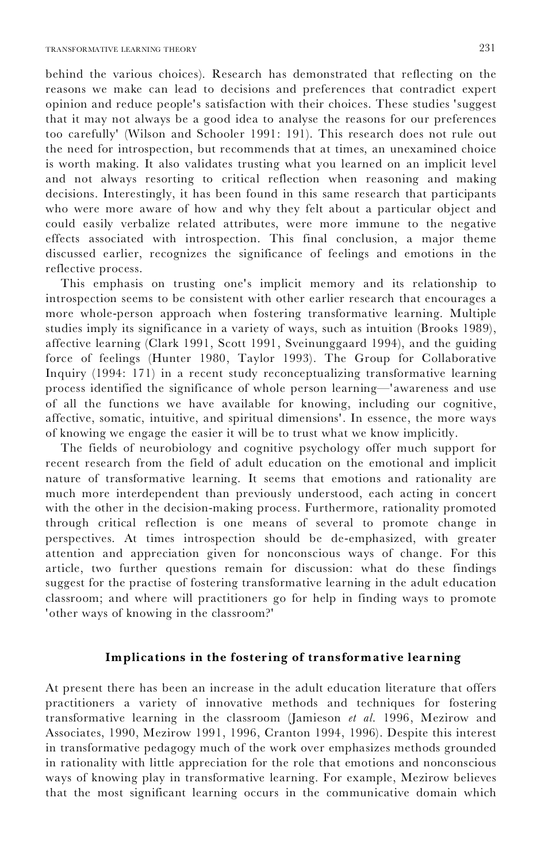behind the various choices). Research has demonstrated that reflecting on the reasons we make can lead to decisions and preferences that contradict expert opinion and reduce people's satisfaction with their choices. These studies 'suggest that it may not always be a good idea to analyse the reasons for our preferences too carefully' (Wilson and Schooler 1991: 191). This research does not rule out the need for introspection, but recommends that at times, an unexamined choice is worth making. It also validates trusting what you learned on an implicit level and not always resorting to critical reflection when reasoning and making decisions. Interestingly, it has been found in this same research that participants who were more aware of how and why they felt about a particular object and could easily verbalize related attributes, were more immune to the negative effects associated with introspection. This final conclusion, a major theme discussed earlier, recognizes the significance of feelings and emotions in the reflective process.

This emphasis on trusting one's implicit memory and its relationship to introspection seems to be consistent with other earlier research that encourages a more whole-person approach when fostering transformative learning. Multiple studies imply its significance in a variety of ways, such as intuition (Brooks 1989), affective learning (Clark 1991, Scott 1991, Sveinunggaard 1994), and the guiding force of feelings (Hunter 1980, Taylor 1993). The Group for Collaborative Inquiry (1994: 171) in a recent study reconceptualizing transformative learning process identified the significance of whole person learning—'awareness and use of all the functions we have available for knowing, including our cognitive, affective, somatic, intuitive, and spiritual dimensions'. In essence, the more ways of knowing we engage the easier it will be to trust what we know implicitly.

The fields of neurobiology and cognitive psychology offer much support for recent research from the field of adult education on the emotional and implicit nature of transformative learning. It seems that emotions and rationality are much more interdependent than previously understood, each acting in concert with the other in the decision-making process. Furthermore, rationality promoted through critical reflection is one means of several to promote change in perspectives. At times introspection should be de-emphasized, with greater attention and appreciation given for nonconscious ways of change. For this article, two further questions remain for discussion: what do these findings suggest for the practise of fostering transformative learning in the adult education classroom; and where will practitioners go for help in finding ways to promote 'other ways of knowing in the classroom?'

#### **Implications in the foster ing of transformative learning**

At present there has been an increase in the adult education literature that offers practitioners a variety of innovative methods and techniques for fostering transformative learning in the classroom (Jamieson *et al*. 1996, Mezirow and Associates, 1990, Mezirow 1991, 1996, Cranton 1994, 1996). Despite this interest in transformative pedagogy much of the work over emphasizes methods grounded in rationality with little appreciation for the role that emotions and nonconscious ways of knowing play in transformative learning. For example, Mezirow believes that the most significant learning occurs in the communicative domain which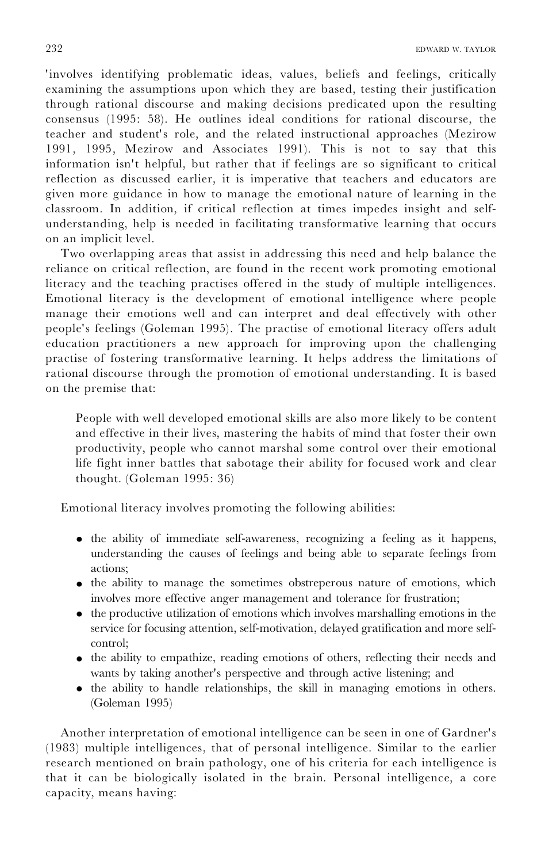'involves identifying problematic ideas, values, beliefs and feelings, critically examining the assumptions upon which they are based, testing their justification through rational discourse and making decisions predicated upon the resulting consensus (1995: 58). He outlines ideal conditions for rational discourse, the teacher and student's role, and the related instructional approaches (Mezirow 1991, 1995, Mezirow and Associates 1991). This is not to say that this information isn't helpful, but rather that if feelings are so significant to critical reflection as discussed earlier, it is imperative that teachers and educators are given more guidance in how to manage the emotional nature of learning in the classroom. In addition, if critical reflection at times impedes insight and self understanding, help is needed in facilitating transformative learning that occurs on an implicit level.

Two overlapping areas that assist in addressing this need and help balance the reliance on critical reflection, are found in the recent work promoting emotional literacy and the teaching practises offered in the study of multiple intelligences. Emotional literacy is the development of emotional intelligence where people manage their emotions well and can interpret and deal effectively with other people's feelings (Goleman 1995). The practise of emotional literacy offers adult education practitioners a new approach for improving upon the challenging practise of fostering transformative learning. It helps address the limitations of rational discourse through the promotion of emotional understanding. It is based on the premise that:

People with well developed emotional skills are also more likely to be content and effective in their lives, mastering the habits of mind that foster their own productivity, people who cannot marshal some control over their emotional life fight inner battles that sabotage their ability for focused work and clear thought. (Goleman 1995: 36)

Emotional literacy involves promoting the following abilities:

- the ability of immediate self-awareness, recognizing a feeling as it happens, understanding the causes of feelings and being able to separate feelings from actions;
- the ability to manage the sometimes obstreperous nature of emotions, which involves more effective anger management and tolerance for frustration;
- the productive utilization of emotions which involves marshalling emotions in the service for focusing attention, self-motivation, delayed gratification and more self control;
- the ability to empathize, reading emotions of others, reflecting their needs and wants by taking another's perspective and through active listening; and
- the ability to handle relationships, the skill in managing emotions in others. (Goleman 1995)

Another interpretation of emotional intelligence can be seen in one of Gardner's (1983) multiple intelligences, that of personal intelligence. Similar to the earlier research mentioned on brain pathology, one of his criteria for each intelligence is that it can be biologically isolated in the brain. Personal intelligence, a core capacity, means having: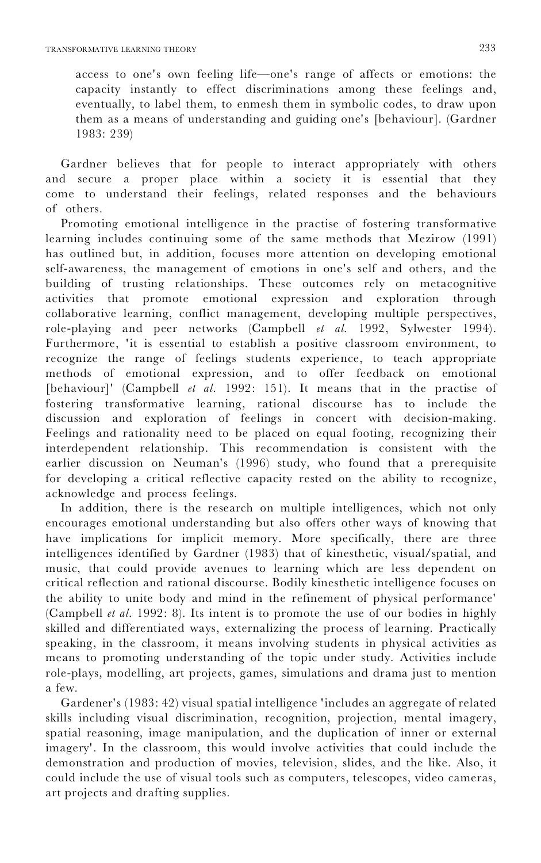access to one's own feeling life—one's range of affects or emotions: the capacity instantly to effect discriminations among these feelings and, eventually, to label them, to enmesh them in symbolic codes, to draw upon them as a means of understanding and guiding one's [behaviour]. (Gardner 1983: 239)

Gardner believes that for people to interact appropriately with others and secure a proper place within a society it is essential that they come to understand their feelings, related responses and the behaviours of others.

Promoting emotional intelligence in the practise of fostering transformative learning includes continuing some of the same methods that Mezirow (1991) has outlined but, in addition, focuses more attention on developing emotional self-awareness, the management of emotions in one's self and others, and the building of trusting relationships. These outcomes rely on metacognitive activities that promote emotional expression and exploration through collaborative learning, conflict management, developing multiple perspectives, role-playing and peer networks (Campbell *et al*. 1992, Sylwester 1994). Furthermore, 'it is essential to establish a positive classroom environment, to recognize the range of feelings students experience, to teach appropriate methods of emotional expression, and to offer feedback on emotional [behaviour]' (Campbell *et al*. 1992: 151). It means that in the practise of fostering transformative learning, rational discourse has to include the discussion and exploration of feelings in concert with decision-making. Feelings and rationality need to be placed on equal footing, recognizing their interdependent relationship. This recommendation is consistent with the earlier discussion on Neuman's (1996) study, who found that a prerequisite for developing a critical reflective capacity rested on the ability to recognize, acknowledge and process feelings.

In addition, there is the research on multiple intelligences, which not only encourages emotional understanding but also offers other ways of knowing that have implications for implicit memory. More specifically, there are three intelligences identified by Gardner (1983) that of kinesthetic, visual/spatial, and music, that could provide avenues to learning which are less dependent on critical reflection and rational discourse. Bodily kinesthetic intelligence focuses on the ability to unite body and mind in the refinement of physical performance' (Campbell *et al*. 1992: 8). Its intent is to promote the use of our bodies in highly skilled and differentiated ways, externalizing the process of learning. Practically speaking, in the classroom, it means involving students in physical activities as means to promoting understanding of the topic under study. Activities include role-plays, modelling, art projects, games, simulations and drama just to mention a few.

Gardener's (1983: 42) visual spatial intelligence 'includes an aggregate of related skills including visual discrimination, recognition, projection, mental imagery, spatial reasoning, image manipulation, and the duplication of inner or external imagery'. In the classroom, this would involve activities that could include the demonstration and production of movies, television, slides, and the like. Also, it could include the use of visual tools such as computers, telescopes, video cameras, art projects and drafting supplies.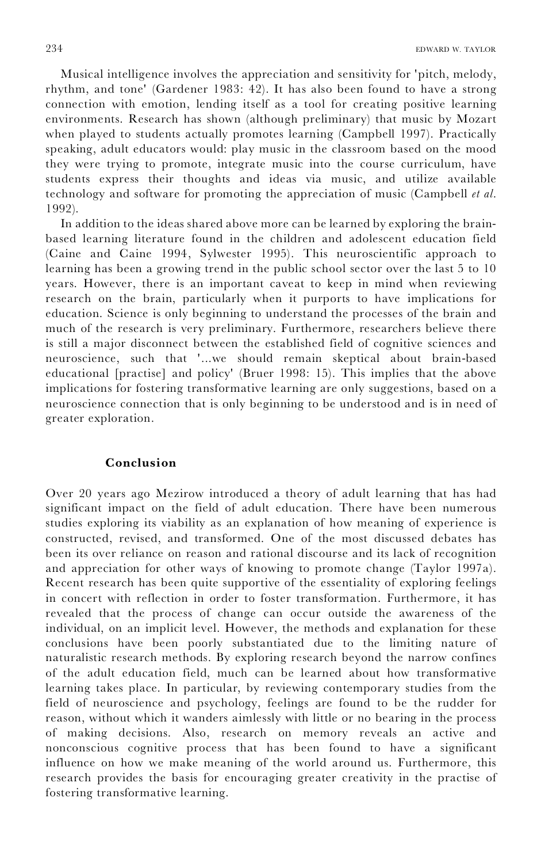Musical intelligence involves the appreciation and sensitivity for 'pitch, melody, rhythm, and tone' (Gardener 1983: 42). It has also been found to have a strong connection with emotion, lending itself as a tool for creating positive learning environments. Research has shown (although preliminary) that music by Mozart when played to students actually promotes learning (Campbell 1997). Practically speaking, adult educators would: play music in the classroom based on the mood they were trying to promote, integrate music into the course curriculum, have students express their thoughts and ideas via music, and utilize available technology and software for promoting the appreciation of music (Campbell *et al*. 1992).

In addition to the ideas shared above more can be learned by exploring the brain based learning literature found in the children and adolescent education field (Caine and Caine 1994, Sylwester 1995). This neuroscientific approach to learning has been a growing trend in the public school sector over the last 5 to 10 years. However, there is an important caveat to keep in mind when reviewing research on the brain, particularly when it purports to have implications for education. Science is only beginning to understand the processes of the brain and much of the research is very preliminary. Furthermore, researchers believe there is still a major disconnect between the established field of cognitive sciences and neuroscience, such that '...we should remain skeptical about brain-based educational [practise] and policy' (Bruer 1998: 15). This implies that the above implications for fostering transformative learning are only suggestions, based on a neuroscience connection that is only beginning to be understood and is in need of greater exploration.

## **Conclusion**

Over 20 years ago Mezirow introduced a theory of adult learning that has had significant impact on the field of adult education. There have been numerous studies exploring its viability as an explanation of how meaning of experience is constructed, revised, and transformed. One of the most discussed debates has been its over reliance on reason and rational discourse and its lack of recognition and appreciation for other ways of knowing to promote change (Taylor 1997a). Recent research has been quite supportive of the essentiality of exploring feelings in concert with reflection in order to foster transformation. Furthermore, it has revealed that the process of change can occur outside the awareness of the individual, on an implicit level. However, the methods and explanation for these conclusions have been poorly substantiated due to the limiting nature of naturalistic research methods. By exploring research beyond the narrow confines of the adult education field, much can be learned about how transformative learning takes place. In particular, by reviewing contemporary studies from the field of neuroscience and psychology, feelings are found to be the rudder for reason, without which it wanders aimlessly with little or no bearing in the process of making decisions. Also, research on memory reveals an active and nonconscious cognitive process that has been found to have a significant influence on how we make meaning of the world around us. Furthermore, this research provides the basis for encouraging greater creativity in the practise of fostering transformative learning.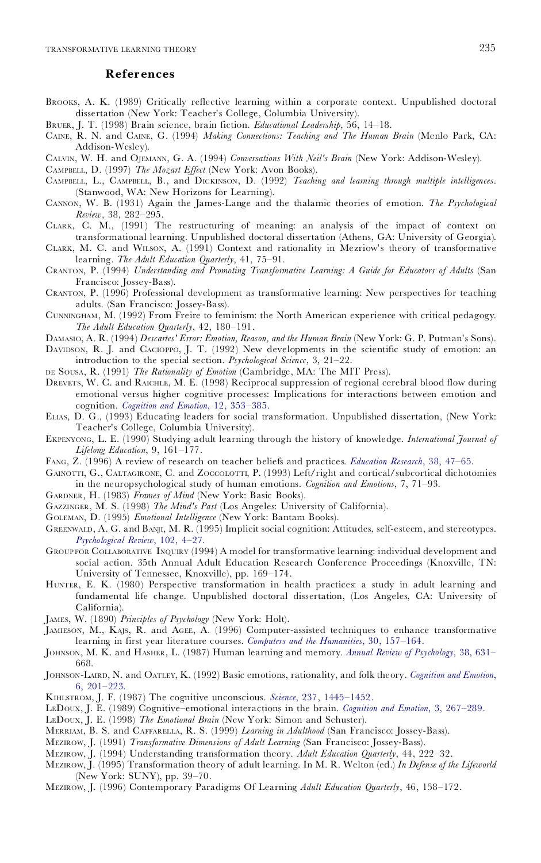#### **References**

- BROOKS, A. K. (1989) Critically reflective learning within a corporate context. Unpublished doctoral dissertation (New York: Teacher's College, Columbia University).
- BRUER, J. T. (1998) Brain science, brain fiction. *Educational Leadership,* 56, 14–18.
- CAINE, R. N. and CAINE, G. (1994) *Making Connections: Teaching and The Human Brain* (Menlo Park, CA: Addison-Wesley).
- CALVIN, W. H. and OJEMANN, G. A. (1994) *Conversations With Neil's Brain* (New York: Addison-Wesley).
- CAMPBELL, D. (1997) *The Mozart Effect* (New York: Avon Books).
- CAMPBELL, L., CAMPBELL, B., and DICKINSON, D. (1992) *Teaching and learning through multiple intelligences*. (Stanwood, WA: New Horizons for Learning).
- CANNON, W. B. (1931) Again the James-Lange and the thalamic theories of emotion. *The Psychological Review*, 38, 282–295.
- CLARK, C. M., (1991) The restructuring of meaning: an analysis of the impact of context on transformational learning. Unpublished doctoral dissertation (Athens, GA: University of Georgia).
- CLARK, M. C. and WILSON, A. (1991) Context and rationality in Mezriow's theory of transformative learning. *The Adult Education Quarterly*, 41, 75–91.
- CRANTON, P. (1994) *Understanding and Promoting Transformative Learning: A Guide for Educators of Adults* (San Francisco: Jossey-Bass).
- CRANTON, P. (1996) Professional development as transformative learning: New perspectives for teaching adults. (San Francisco: Jossey-Bass).
- CUNNINGHAM, M. (1992) From Freire to feminism: the North American experience with critical pedagogy. *The Adult Education Quarterly*, 42, 180–191.
- DAMASIO, A. R. (1994) *Descartes' Error: Emotion, Reason, and the Human Brain* (New York: G. P. Putman's Sons).
- DAVIDSON, R. J. and CACIOPPO, J. T. (1992) New developments in the scientific study of emotion: an introduction to the special section. *Psychological Science*, 3, 21–22.
- DE SOUSA, R. (1991) *The Rationality of Emotion* (Cambridge, MA: The MIT Press).
- DREVETS, W. C. and RAICHLE, M. E. (1998) Reciprocal suppression of regional cerebral blood flow during emotional versus higher cognitive processes: Implications for interactions between emotion and cognition. *Cognition and Emotion*, 12, [353–385.](http://barbarina.catchword.com/nw=1/rpsv/cgi-bin/linker?ext=a&reqidx=/0269-9931^28^2912L.353[aid=880428])
- ELIAS, D. G., (1993) Educating leaders for social transformation. Unpublished dissertation, (New York: Teacher's College, Columbia University).
- EKPENYONG, L. E. (1990) Studying adult learning through the history of knowledge. *International Journal of Lifelong Education*, 9, 161–177.
- FANG, Z. (1996) A review of research on teacher beliefs and practices. *[Education](http://barbarina.catchword.com/nw=1/rpsv/cgi-bin/linker?ext=a&reqidx=/0013-1881^28^2938L.47[aid=1271549]) Research*, 38, 47–65.
- GAINOTTI, G., CALTAGIRONE, C. and ZOCCOLOTTI, P. (1993) Left/right and cortical/subcortical dichotomies in the neuropsychological study of human emotions. *Cognition and Emotions*, 7, 71–93.
- GARDNER, H. (1983) *Frames of Mind* (New York: Basic Books).
- GAZZINGER, M. S. (1998) *The Mind's Past* (Los Angeles: University of California).
- GOLEMAN, D. (1995) *Emotional Intelligence* (New York: Bantam Books).
- GREENWALD, A. G. and BANJI, M. R. (1995) Implicit social cognition: Attitudes, self-esteem, and stereotypes. *[Psychological](http://barbarina.catchword.com/nw=1/rpsv/cgi-bin/linker?ext=a&reqidx=/0033-295X^28^29102L.4[aid=17123]) Review*, 102, 4–27.
- GROUP FOR COLLABORATIVE INQUIRY (1994) A model for transformative learning: individual development and social action. 35th Annual Adult Education Research Conference Proceedings (Knoxville, TN: University of Tennessee, Knoxville), pp. 169–174.
- HUNTER, E. K. (1980) Perspective transformation in health practices: a study in adult learning and fundamental life change. Unpublished doctoral dissertation, (Los Angeles, CA: University of California).
- JAMES, W. (1890) *Principles of Psychology* (New York: Holt).
- JAMIESON, M., KAJS, R. and AGEE, A. (1996) Computer-assisted techniques to enhance transformative learning in first year literature courses. *Computers and the [Humanities](http://barbarina.catchword.com/nw=1/rpsv/cgi-bin/linker?ext=a&reqidx=/0010-4817^28^2930L.157[aid=1271550])*, 30, 157–164.
- JOHNSON, M. K. and HASHER, L. (1987) Human learning and memory. *Annual Review of [Psychology](http://barbarina.catchword.com/nw=1/rpsv/cgi-bin/linker?ext=a&reqidx=/0066-4308^28^2938L.631[aid=890506])*, 38, 631– 668.
- JOHNSON-LAIRD, N. and OATLEY, K. (1992) Basic emotions, rationality, and folk theory. *[Cognition](http://barbarina.catchword.com/nw=1/rpsv/cgi-bin/linker?ext=a&reqidx=/0269-9931^28^296L.201[aid=294218]) and Emotion*, 6, [201–223.](http://barbarina.catchword.com/nw=1/rpsv/cgi-bin/linker?ext=a&reqidx=/0269-9931^28^296L.201[aid=294218])
- KIHLSTROM, J. F. (1987) The cognitive unconscious. *Science*, 237, [1445–1452.](http://barbarina.catchword.com/nw=1/rpsv/cgi-bin/linker?ext=a&reqidx=/0036-8075^28^29237L.1445[aid=291195])
- LEDOUX, J. E. (1989) Cognitive–emotional interactions in the brain. *Cognition and Emotion*, 3, [267–289.](http://barbarina.catchword.com/nw=1/rpsv/cgi-bin/linker?ext=a&reqidx=/0269-9931^28^293L.267[aid=294316])
- LEDOUX, J. E. (1998) *The Emotional Brain* (New York: Simon and Schuster).
- MERRIAM, B. S. and CAFFARELLA, R. S. (1999) *Learning in Adulthood* (San Francisco: Jossey-Bass).
- MEZIROW, J. (1991) *Transformative Dimensions of Adult Learning* (San Francisco: Jossey-Bass).
- MEZIROW, J. (1994) Understanding transformation theory. *Adult Education Quarterly*, 44, 222–32.
- MEZIROW, J. (1995) Transformation theory of adult learning. In M. R. Welton (ed.) *In Defense of the Lifeworld* (New York: SUNY), pp. 39–70.
- MEZIROW, J. (1996) Contemporary Paradigms Of Learning *Adult Education Quarterly*, 46, 158–172.